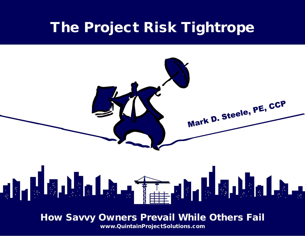# The Project Risk Tightrope



How Savvy Owners Prevail While Others Fail

www.QuintainProjectSolutions.com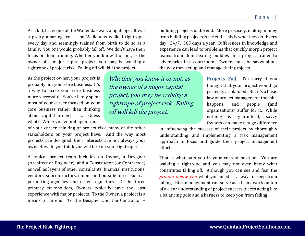As a kid, I saw one of the Wallendas walk a tightrope. It was a pretty amazing feat. The Wallendas walked tightropes every day and seemingly trained from birth to do so as a family. You or I would probably fall off. We don't have their focus or their training. Whether you know it or not, as the owner of a major capital project, you may be walking a tightrope of project risk. Falling off will kill the project.

As the project owner, your project is probably not your core business. It's a way to make your core business more successful. You've likely spent most of your career focused on your core business rather than thinking about capital project risk. Guess what? While you've not spent most

of your career thinking of project risk, many of the other stakeholders on your project have. And the way most projects are designed, their interests are not always your own. How do you think you will fare on your tightrope?

A typical project team includes an Owner, a Designer (Architect or Engineer), and a Constructor (or Contractor) as well as layers of other consultants, financial institutions, vendors, subcontractors, unions and outside forces such as permitting agencies and other regulators. Of the three primary stakeholders, Owners typically have the least experience with major projects. To the Owner, a project is a means to an end. To the Designer and the Contractor –

Whether you know it or not, as the owner of a major capital project, you may be walking a tightrope of project risk. Falling off will kill the project.

building projects is the end. More precisely, making money from building projects is the end. This is what they do. Every day. 24/7. 365 days a year. Differences in knowledge and experience can lead to problems that quickly morph project teams from donut-eating buddies in a project trailer to adversaries in a courtroom. Owners must be savvy about the way they set up and manage their projects.

> Projects Fail. I'm sorry if you thought that your project would go perfectly as planned. But it's a basic law of project management that shit happens and people (and organizations) suffer for it. While nothing is guaranteed, savvy Owners can make a huge difference

in influencing the success of their project by thoroughly understanding and implementing a risk management approach to focus and guide their project management efforts.

That is what puts you in your current position. You are walking a tightrope and you may not even know what constitutes falling off. Although you can see and fear the ground below you what you need is a way to keep from falling. Risk management can serve as a framework on top of a clear understanding of project success pieces acting like a balancing pole and a harness to keep you from falling.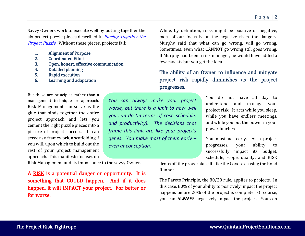Savvy Owners work to execute well by putting together the six project puzzle pieces described in *Piecing Together the* [Project Puzzle](https://quintainprojectsolutions.com/thought-leadership/). Without these pieces, projects fail:

- 1. Alignment of Purpose<br>2. Coordinated Effort
- 2. Coordinated Effort<br>3. Open. honest. effect
- 3. Open, honest, effective communication<br>4. Detailed planning
- 4. Detailed planning<br>5. Rapid execution
- 5. Rapid execution<br>6. Learning and ada
- Learning and adaptation

But these are principles rather than a management technique or approach. Risk Management can serve as the glue that binds together the entire project approach and lets you cement the right puzzle pieces into a picture of project success. It can serve as a framework, a scaffolding if you will, upon which to build out the rest of your project management approach. This manifesto focuses on

Risk Management and its importance to the savvy Owner.

A RISK is a potential danger or opportunity. It is something that **COULD** happen. And if it does happen, it will IMPACT your project. For better or for worse.

While, by definition, risks might be positive or negative, most of our focus is on the negative risks, the dangers. Murphy said that what can go wrong, will go wrong. Sometimes, even what CANNOT go wrong still goes wrong. If Murphy had been a risk manager, he would have added a few caveats but you get the idea.

# The ability of an Owner to influence and mitigate project risk rapidly diminishes as the project progresses.

*You can always make your project worse, but there is a limit to how well you can do (in terms of cost, schedule, and productivity). The decisions that frame this limit are like your project's genes. You make most of them early – even at conception.*

You do not have all day to understand and manage your project risk. It acts while you sleep, while you have endless meetings, and while you put the power in your power lunches.

You must act early. As a project progresses, your ability to successfully impact its budget, schedule, scope, quality, and RISK

drops off the proverbial cliff like the Coyote chasing the Road Runner.

The Pareto Principle, the 80/20 rule, applies to projects. In this case, 80% of your ability to positively impact the project happens before 20% of the project is complete. Of course, you can ALWAYS negatively impact the project. You can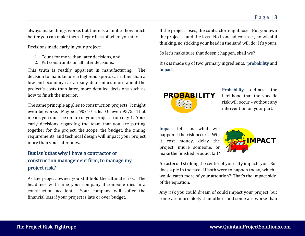always make things worse, but there is a limit to how much better you can make them. Regardless of when you start.

Decisions made early in your project:

- 1. Count for more than later decisions, and
- 2. Put constraints on all later decisions.

This truth is readily apparent in manufacturing. The decision to manufacture a high-end sports car rather than a low-end economy car already determines more about the project's costs than later, more detailed decisions such as how to finish the interior.

The same principle applies to construction projects. It might even be worse. Maybe a 90/10 rule. Or even 95/5. That means you must be on top of your project from day 1. Your early decisions regarding the team that you are putting together for the project, the scope, the budget, the timing requirements, and technical design will impact your project more than your later ones.

# But isn't that why I have a contractor or construction management firm, to manage my project risk?

As the project owner you still hold the ultimate risk. The headlines will name your company if someone dies in a construction accident. Your company will suffer the financial loss if your project is late or over budget.

If the project loses, the contractor might lose. But you own the project – and the loss. No ironclad contract, no wishful thinking, no sticking your head in the sand will do. It's yours.

So let's make sure that doesn't happen, shall we?

Risk is made up of two primary ingredients: probability and impact.



Probability defines the likelihood that the specific risk will occur – without any intervention on your part.

Impact tells us what will happen if the risk occurs. Will it cost money, delay the project, injure someone, or make the finished product fail?



An asteroid striking the center of your city impacts you. So does a pie in the face. If both were to happen today, which would catch more of your attention? That's the impact side of the equation.

Any risk you could dream of could impact your project, but some are more likely than others and some are worse than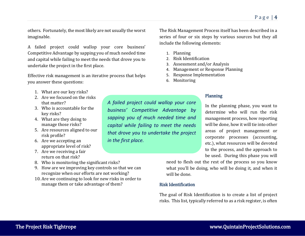others. Fortunately, the most likely are not usually the worst imaginable.

A failed project could wallop your core business' Competitive Advantage by sapping you of much needed time and capital while failing to meet the needs that drove you to undertake the project in the first place.

Effective risk management is an iterative process that helps you answer these questions:

- 1. What are our key risks?
- 2. Are we focused on the risks that matter?
- 3. Who is accountable for the key risks?
- 4. What are they doing to manage those risks?
- 5. Are resources aligned to our risk profile?
- 6. Are we accepting an appropriate level of risk?
- 7. Are we receiving a fair return on that risk?
- 8. Who is monitoring the significant risks?
- 9. How are we improving key controls so that we can recognize when our efforts are not working?
- 10. Are we continuing to look for new risks in order to manage them or take advantage of them?

The Risk Management Process itself has been described in a series of four or six steps by various sources but they all include the following elements:

- 1. Planning
- 2. Risk Identification
- 3. Assessment and/or Analysis
- 4. Management or Response Planning
- 5. Response Implementation
- 6. Monitoring

*A failed project could wallop your core business' Competitive Advantage by sapping you of much needed time and* 

*capital while failing to meet the needs that drove you to undertake the project* 

*in the first place.*

#### Planning

In the planning phase, you want to determine who will run the risk management process, how reporting will be done, how it will tie into other areas of project management or corporate processes (accounting, etc.), what resources will be devoted to the process, and the approach to be used. During this phase you will

need to flesh out the rest of the process so you know what you'll be doing, who will be doing it, and when it will be done.

#### Risk Identification

The goal of Risk Identification is to create a list of project risks. This list, typically referred to as a risk register, is often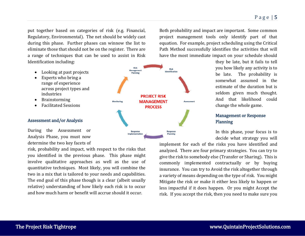put together based on categories of risk (e.g. Financial, Regulatory, Environmental). The net should be widely cast during this phase. Further phases can winnow the list to eliminate those that should not be on the register. There are a range of techniques that can be used to assist in Risk Identification including:

- Looking at past projects
- Experts who bring a range of experience across project types and industries
- Brainstorming
- Facilitated Sessions

#### Assessment and/or Analysis

During the Assessment or Analysis Phase, you must now determine the two key facets of

risk, probability and impact, with respect to the risks that you identified in the previous phase. This phase might involve qualitative approaches as well as the use of quantitative techniques. Most likely, you will combine the two in a mix that is tailored to your needs and capabilities. The end goal of this phase though is a clear (albeit usually relative) understanding of how likely each risk is to occur and how much harm or benefit will accrue should it occur.



Both probability and impact are important. Some common project management tools only identify part of that equation. For example, project scheduling using the Critical Path Method successfully identifies the activities that will have the most immediate impact on your schedule should

> they be late, but it fails to tell you how likely any activity is to be late. The probability is somewhat assumed in the estimate of the duration but is seldom given much thought. And that likelihood could change the whole game.

## Management or Response Planning

In this phase, your focus is to decide what strategy you will

implement for each of the risks you have identified and analyzed. There are four primary strategies. You can try to give the risk to somebody else (Transfer or Sharing). This is commonly implemented contractually or by buying insurance. You can try to Avoid the risk altogether through a variety of means depending on the type of risk. You might Mitigate the risk or make it either less likely to happen or less impactful if it does happen. Or you might Accept the risk. If you accept the risk, then you need to make sure you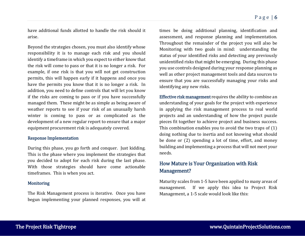have additional funds allotted to handle the risk should it arise.

Beyond the strategies chosen, you must also identify whose responsibility it is to manage each risk and you should identify a timeframe in which you expect to either know that the risk will come to pass or that it is no longer a risk. For example, if one risk is that you will not get construction permits, this will happen early if it happens and once you have the permits you know that it is no longer a risk. In addition, you need to define controls that will let you know if the risks are coming to pass or if you have successfully managed them. These might be as simple as being aware of weather reports to see if your risk of an unusually harsh winter is coming to pass or as complicated as the development of a new regular report to ensure that a major equipment procurement risk is adequately covered.

#### Response Implementation

During this phase, you go forth and conquer. Just kidding. This is the phase where you implement the strategies that you decided to adopt for each risk during the last phase. With those strategies should have come actionable timeframes. This is when you act.

#### **Monitoring**

The Risk Management process is iterative. Once you have begun implementing your planned responses, you will at

times be doing additional planning, identification and assessment, and response planning and implementation. Throughout the remainder of the project you will also be Monitoring with two goals in mind: understanding the status of your identified risks and detecting any previously unidentified risks that might be emerging. During this phase you use controls designed during your response planning as well as other project management tools and data sources to ensure that you are successfully managing your risks and identifying any new risks.

Effective risk management requires the ability to combine an understanding of your goals for the project with experience in applying the risk management process to real world projects and an understanding of how the project puzzle pieces fit together to achieve project and business success. This combination enables you to avoid the two traps of (1) doing nothing due to inertia and not knowing what should be done or (2) spending a lot of time, effort, and money building and implementing a process that will not meet your needs.

# How Mature is Your Organization with Risk Management?

Maturity scales from 1-5 have been applied to many areas of management. If we apply this idea to Project Risk Management, a 1-5 scale would look like this: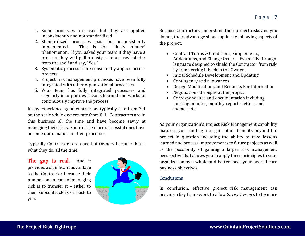- 1. Some processes are used but they are applied inconsistently and not standardized.
- 2. Standardized processes exist but inconsistently<br>implemented. This is the "dusty binder" This is the "dusty binder" phenomenon. If you asked your team if they have a process, they will pull a dusty, seldom-used binder from the shelf and say, "Yes."
- 3. Systematic processes are consistently applied across projects.
- 4. Project risk management processes have been fully integrated with other organizational processes.
- 5. Your team has fully integrated processes and regularly incorporates lessons learned and works to continuously improve the process.

In my experience, good contractors typically rate from 3-4 on the scale while owners rate from 0-1. Contractors are in this business all the time and have become savvy at managing their risks. Some of the more successful ones have become quite mature in their processes.

Typically Contractors are ahead of Owners because this is what they do, all the time.

The gap is real. And it provides a significant advantage to the Contractor because their number one means of managing risk is to transfer it – either to their subcontractors or back to you.



Because Contractors understand their project risks and you do not, their advantage shows up in the following aspects of the project:

- Contract Terms & Conditions, Supplements, Addendums, and Change Orders. Especially through language designed to shield the Contractor from risk by transferring it back to the Owner.
- Initial Schedule Development and Updating
- Contingency and allowances
- Design Modifications and Requests For Information
- Negotiations throughout the project
- Correspondence and documentation including meeting minutes, monthly reports, letters and memos, etc.

As your organization's Project Risk Management capability matures, you can begin to gain other benefits beyond the project in question including the ability to take lessons learned and process improvements to future projects as well as the possibility of gaining a larger risk management perspective that allows you to apply these principles to your organization as a whole and better meet your overall core business objectives.

#### **Conclusions**

In conclusion, effective project risk management can provide a key framework to allow Savvy Owners to be more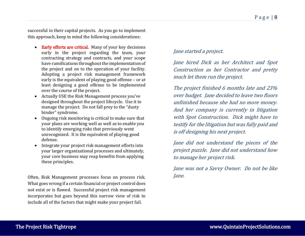successful in their capital projects. As you go to implement this approach, keep in mind the following considerations:

- Early efforts are critical. Many of your key decisions early in the project regarding the team, your contracting strategy and contracts, and your scope have ramifications throughout the implementation of the project and on to the operation of your facility. Adopting a project risk management framework early is the equivalent of playing good offense – or at least designing a good offense to be implemented over the course of the project.
- Actually USE the Risk Management process you've designed throughout the project lifecycle. Use it to manage the project. Do not fall prey to the "dusty binder" syndrome.
- Ongoing risk monitoring is critical to make sure that your plans are working well as well as to enable you to identify emerging risks that previously went unrecognized. It is the equivalent of playing good defense.
- Integrate your project risk management efforts into your larger organizational processes and ultimately, your core business may reap benefits from applying these principles.

Often, Risk Management processes focus on process risk. What goes wrong if a certain financial or project control does not exist or is flawed. Successful project risk management incorporates but goes beyond this narrow view of risk to include all of the factors that might make your project fail.

## Jane started a project.

Jane hired Dick as her Architect and Spot Construction as her Contractor and pretty much let them run the project.

The project finished 6 months late and 23% over budget. Jane decided to leave two floors unfinished because she had no more money. And her company is currently in litigation with Spot Construction. Dick might have to testify for the litigation but was fully paid and is off designing his next project.

Jane did not understand the pieces of the project puzzle. Jane did not understand how to manage her project risk.

Jane was not a Savvy Owner. Do not be like Jane.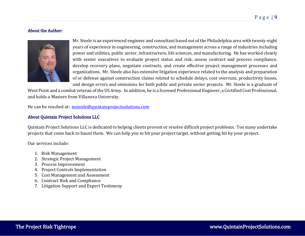## About the Author:



Mr. Steele is an experienced engineer and consultant based out of the Philadelphia area with twenty-eight years of experience in engineering, construction, and management across a range of industries including power and utilities, public sector, infrastructure, life sciences, and manufacturing. He has worked closely with senior executives to evaluate project status and risk, assess contract and process compliance, develop recovery plans, negotiate contracts, and create effective project management processes and organizations. Mr. Steele also has extensive litigation experience related to the analysis and preparation of or defense against construction claims related to schedule delays, cost overruns, productivity losses, and design errors and omissions for both public and private sector projects. Mr. Steele is a graduate of

West Point and a combat veteran of the US Army. In addition, he is a licensed Professional Engineer, a Certified Cost Professional, and holds a Masters from Villanova University.

He can be reached at: [msteele@quintainprojectsolutions.com](mailto:msteele@quintainprojectsolutions.com)

#### About Quintain Project Solutions LLC

Quintain Project Solutions LLC is dedicated to helping clients prevent or resolve difficult project problems. Too many undertake projects that come back to haunt them. We can help you to hit your project target, without getting hit by your project.

Our services include:

- 1. Risk Management
- 2. Strategic Project Management
- 3. Process Improvement
- 4. Project Controls Implementation
- 5. Cost Management and Assessment
- 6. Contract Risk and Compliance
- 7. Litigation Support and Expert Testimony